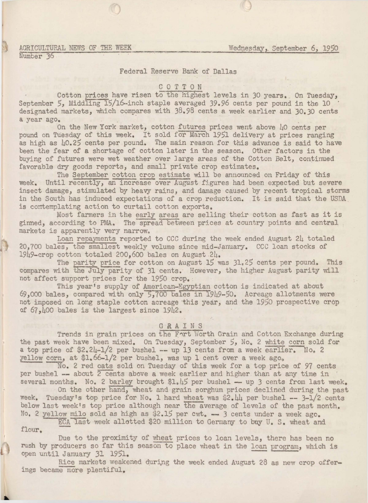# AGRICULTURAL NEWS OF THE WEEK AGRICULTURAL NEWS OF THE WEEK Mednesday, September 6, 1950<br>Number 36

### Federal Reserve Bank of Dallas

#### C 0 T T 0 N

Cotton prices have risen to the highest levels in 30 years. On Tuesday, September 5, Middling 15/16-inch staple averaged 39.96 cents per pound in the 10 designated markets, which compares with  $38.98$  cents a week earlier and  $30.30$  cents a year ago.

On the New York market, cotton futures prices went above 40 cents per pound on Tuesday of this week. It sold for March 1951 delivery at prices ranging as high as  $\mu$ 0.25 cents per pound. The main reason for this advance is said to have been the fear of a shortage of cotton later in the season. Other factors in the buying of futures were wet weather over large areas of the Cotton Belt, continued favorable dry goods reports, and small private crop estimates.

The September cotton crop estimate will be announced on Friday of this week. Until recently, an increase over August figures had been expected but severe insect damage, stimulated by heavy rains, and damage caused by recent tropical storms in the South has induced expectations of a crop reduction. It is said that the USDA is contemplating action to curtail cotton exports.

Most farmers in the early areas are selling their cotton as fast as it is ginned, according to PMA. The spread between prices at country points and central. markets is apparently very narrow.

Loan repayments reported to CCC during the week ended August 24 totaled 20,700 bales, the smallest weekly volume since mid-January. CCC loan stocks of 1949-crop cotton totaled 200,600 bales on August 24.

The parity price for cotton on August 15 was 31.25 cents per pound. This compares with the July parity of 31 cents. However, the higher August parity will not affect support prices for the 1950 crop. :

This year's supply of American-Egyptian cotton is indicated at about *69,000* bales, compared with only~700 bales in 1949-SO. Acreage allotments were not imposed on long staple cotton acreage this year, and the 1950 prospective crop of 67 ,400 bales is the largest since 1942.

#### GRAINS

Trends in grain prices on the Fort Worth Grain and Cotton Exchange during the past week have been mixed. On Tuesday, September 5, No. 2 white corn sold for a top price of  $2.24-1/2$  per bushel -- up 13 cents from a week earlier. No. 2 yellow corn, at  $1.66-1/2$  per bushel, was up 1 cent over a week ago.

No. 2 red oats sold on Tuesday of this week for a top price of 97 cents per bushel -- about 2 cents above a week earlier and higher than at any time in several months. No. 2 barley brought  $1.45$  per bushel - up 3 cents from last week.

On the other hand, wheat and grain sorghum prices declined during the past week. Tuesday's top price for No. 1 hard wheat was  $2.44$  per bushel -- 3-1/2 cents below last week's top price although near the average of levels of the past month. No. 2 yellow milo sold as high as \$2.15 per cwt. - 3 cents under a week ago.

ECA last week allotted \$20 million to Germany to buy U. S. wheat and flour.

Due to the proximity of wheat prices to loan levels, there has been no rush by producers so far this season to place wheat in the loan program, which is open until January 31 1951

Rice markets weakened during the week ended August 28 as new crop offerings became more plentiful.